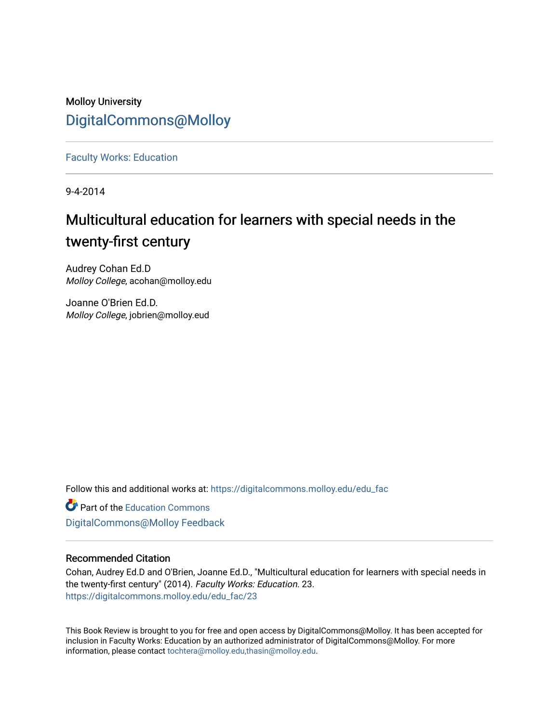## Molloy University [DigitalCommons@Molloy](https://digitalcommons.molloy.edu/)

[Faculty Works: Education](https://digitalcommons.molloy.edu/edu_fac) 

9-4-2014

## Multicultural education for learners with special needs in the twenty-first century

Audrey Cohan Ed.D Molloy College, acohan@molloy.edu

Joanne O'Brien Ed.D. Molloy College, jobrien@molloy.eud

Follow this and additional works at: [https://digitalcommons.molloy.edu/edu\\_fac](https://digitalcommons.molloy.edu/edu_fac?utm_source=digitalcommons.molloy.edu%2Fedu_fac%2F23&utm_medium=PDF&utm_campaign=PDFCoverPages)

**Part of the [Education Commons](https://network.bepress.com/hgg/discipline/784?utm_source=digitalcommons.molloy.edu%2Fedu_fac%2F23&utm_medium=PDF&utm_campaign=PDFCoverPages)** [DigitalCommons@Molloy Feedback](https://molloy.libwizard.com/f/dcfeedback)

## Recommended Citation

Cohan, Audrey Ed.D and O'Brien, Joanne Ed.D., "Multicultural education for learners with special needs in the twenty-first century" (2014). Faculty Works: Education. 23. [https://digitalcommons.molloy.edu/edu\\_fac/23](https://digitalcommons.molloy.edu/edu_fac/23?utm_source=digitalcommons.molloy.edu%2Fedu_fac%2F23&utm_medium=PDF&utm_campaign=PDFCoverPages) 

This Book Review is brought to you for free and open access by DigitalCommons@Molloy. It has been accepted for inclusion in Faculty Works: Education by an authorized administrator of DigitalCommons@Molloy. For more information, please contact [tochtera@molloy.edu,thasin@molloy.edu.](mailto:tochtera@molloy.edu,thasin@molloy.edu)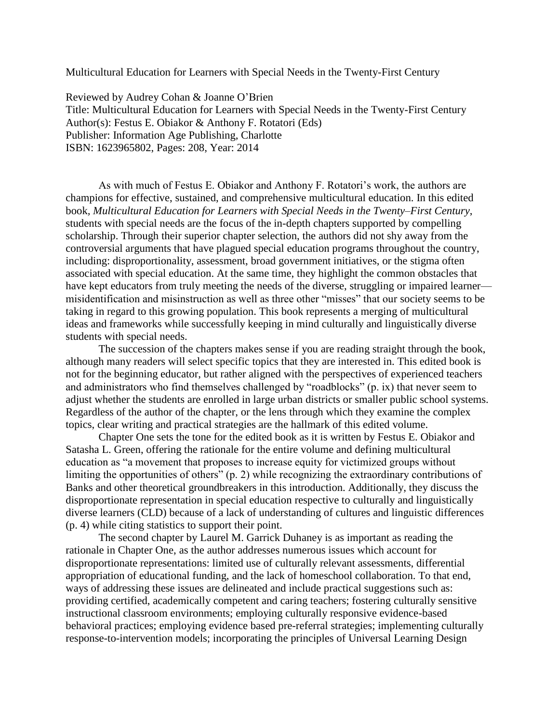Multicultural Education for Learners with Special Needs in the Twenty-First Century

Reviewed by Audrey Cohan & Joanne O'Brien Title: Multicultural Education for Learners with Special Needs in the Twenty-First Century Author(s): Festus E. Obiakor & Anthony F. Rotatori (Eds) Publisher: Information Age Publishing, Charlotte ISBN: 1623965802, Pages: 208, Year: 2014

As with much of Festus E. Obiakor and Anthony F. Rotatori's work, the authors are champions for effective, sustained, and comprehensive multicultural education. In this edited book*, Multicultural Education for Learners with Special Needs in the Twenty–First Century*, students with special needs are the focus of the in-depth chapters supported by compelling scholarship. Through their superior chapter selection, the authors did not shy away from the controversial arguments that have plagued special education programs throughout the country, including: disproportionality, assessment, broad government initiatives, or the stigma often associated with special education. At the same time, they highlight the common obstacles that have kept educators from truly meeting the needs of the diverse, struggling or impaired learner misidentification and misinstruction as well as three other "misses" that our society seems to be taking in regard to this growing population. This book represents a merging of multicultural ideas and frameworks while successfully keeping in mind culturally and linguistically diverse students with special needs.

The succession of the chapters makes sense if you are reading straight through the book, although many readers will select specific topics that they are interested in. This edited book is not for the beginning educator, but rather aligned with the perspectives of experienced teachers and administrators who find themselves challenged by "roadblocks" (p. ix) that never seem to adjust whether the students are enrolled in large urban districts or smaller public school systems. Regardless of the author of the chapter, or the lens through which they examine the complex topics, clear writing and practical strategies are the hallmark of this edited volume.

Chapter One sets the tone for the edited book as it is written by Festus E. Obiakor and Satasha L. Green, offering the rationale for the entire volume and defining multicultural education as "a movement that proposes to increase equity for victimized groups without limiting the opportunities of others" (p. 2) while recognizing the extraordinary contributions of Banks and other theoretical groundbreakers in this introduction. Additionally, they discuss the disproportionate representation in special education respective to culturally and linguistically diverse learners (CLD) because of a lack of understanding of cultures and linguistic differences (p. 4) while citing statistics to support their point.

The second chapter by Laurel M. Garrick Duhaney is as important as reading the rationale in Chapter One, as the author addresses numerous issues which account for disproportionate representations: limited use of culturally relevant assessments, differential appropriation of educational funding, and the lack of homeschool collaboration. To that end, ways of addressing these issues are delineated and include practical suggestions such as: providing certified, academically competent and caring teachers; fostering culturally sensitive instructional classroom environments; employing culturally responsive evidence-based behavioral practices; employing evidence based pre-referral strategies; implementing culturally response-to-intervention models; incorporating the principles of Universal Learning Design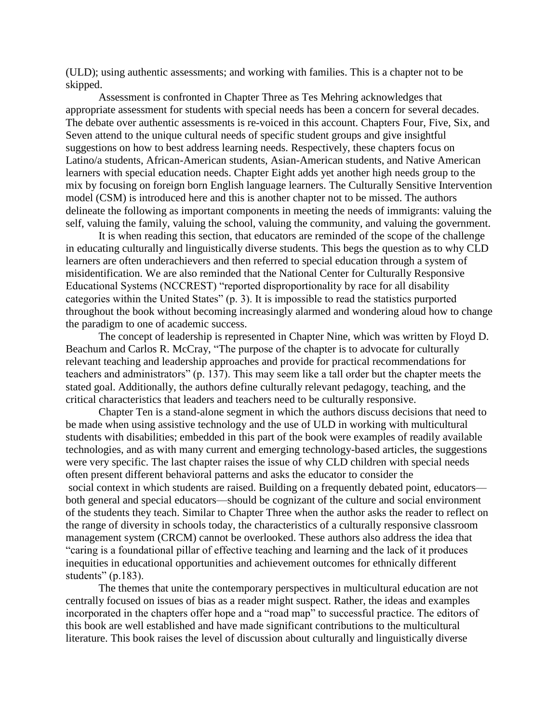(ULD); using authentic assessments; and working with families. This is a chapter not to be skipped.

Assessment is confronted in Chapter Three as Tes Mehring acknowledges that appropriate assessment for students with special needs has been a concern for several decades. The debate over authentic assessments is re-voiced in this account. Chapters Four, Five, Six, and Seven attend to the unique cultural needs of specific student groups and give insightful suggestions on how to best address learning needs. Respectively, these chapters focus on Latino/a students, African-American students, Asian-American students, and Native American learners with special education needs. Chapter Eight adds yet another high needs group to the mix by focusing on foreign born English language learners. The Culturally Sensitive Intervention model (CSM) is introduced here and this is another chapter not to be missed. The authors delineate the following as important components in meeting the needs of immigrants: valuing the self, valuing the family, valuing the school, valuing the community, and valuing the government.

It is when reading this section, that educators are reminded of the scope of the challenge in educating culturally and linguistically diverse students. This begs the question as to why CLD learners are often underachievers and then referred to special education through a system of misidentification. We are also reminded that the National Center for Culturally Responsive Educational Systems (NCCREST) "reported disproportionality by race for all disability categories within the United States" (p. 3). It is impossible to read the statistics purported throughout the book without becoming increasingly alarmed and wondering aloud how to change the paradigm to one of academic success.

The concept of leadership is represented in Chapter Nine, which was written by Floyd D. Beachum and Carlos R. McCray, "The purpose of the chapter is to advocate for culturally relevant teaching and leadership approaches and provide for practical recommendations for teachers and administrators" (p. 137). This may seem like a tall order but the chapter meets the stated goal. Additionally, the authors define culturally relevant pedagogy, teaching, and the critical characteristics that leaders and teachers need to be culturally responsive.

Chapter Ten is a stand-alone segment in which the authors discuss decisions that need to be made when using assistive technology and the use of ULD in working with multicultural students with disabilities; embedded in this part of the book were examples of readily available technologies, and as with many current and emerging technology-based articles, the suggestions were very specific. The last chapter raises the issue of why CLD children with special needs often present different behavioral patterns and asks the educator to consider the social context in which students are raised. Building on a frequently debated point, educators both general and special educators—should be cognizant of the culture and social environment of the students they teach. Similar to Chapter Three when the author asks the reader to reflect on the range of diversity in schools today, the characteristics of a culturally responsive classroom management system (CRCM) cannot be overlooked. These authors also address the idea that "caring is a foundational pillar of effective teaching and learning and the lack of it produces inequities in educational opportunities and achievement outcomes for ethnically different students"  $(p.183)$ .

The themes that unite the contemporary perspectives in multicultural education are not centrally focused on issues of bias as a reader might suspect. Rather, the ideas and examples incorporated in the chapters offer hope and a "road map" to successful practice. The editors of this book are well established and have made significant contributions to the multicultural literature. This book raises the level of discussion about culturally and linguistically diverse